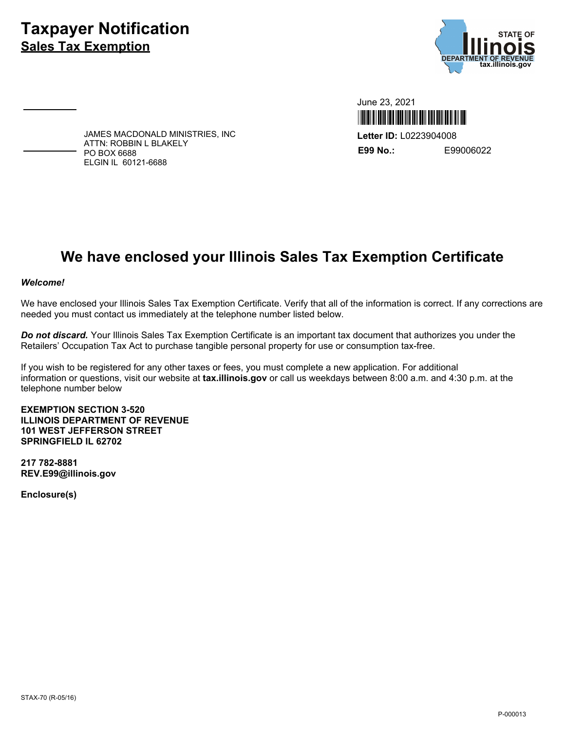## **Taxpayer Notification Sales Tax Exemption**



June 23, 2021 Ш **Letter ID:** L0223904008 **E99 No.:** E99006022

JAMES MACDONALD MINISTRIES, INC ATTN: ROBBIN L BLAKELY PO BOX 6688 ELGIN IL 60121-6688

## **We have enclosed your Illinois Sales Tax Exemption Certificate**

## *Welcome!*

We have enclosed your Illinois Sales Tax Exemption Certificate. Verify that all of the information is correct. If any corrections are needed you must contact us immediately at the telephone number listed below.

*Do not discard.* Your Illinois Sales Tax Exemption Certificate is an important tax document that authorizes you under the Retailers' Occupation Tax Act to purchase tangible personal property for use or consumption tax-free.

If you wish to be registered for any other taxes or fees, you must complete a new application. For additional information or questions, visit our website at **tax.illinois.gov** or call us weekdays between 8:00 a.m. and 4:30 p.m. at the telephone number below

**EXEMPTION SECTION 3-520 ILLINOIS DEPARTMENT OF REVENUE 101 WEST JEFFERSON STREET SPRINGFIELD IL 62702**

**217 782-8881 REV.E99@illinois.gov**

**Enclosure(s)**